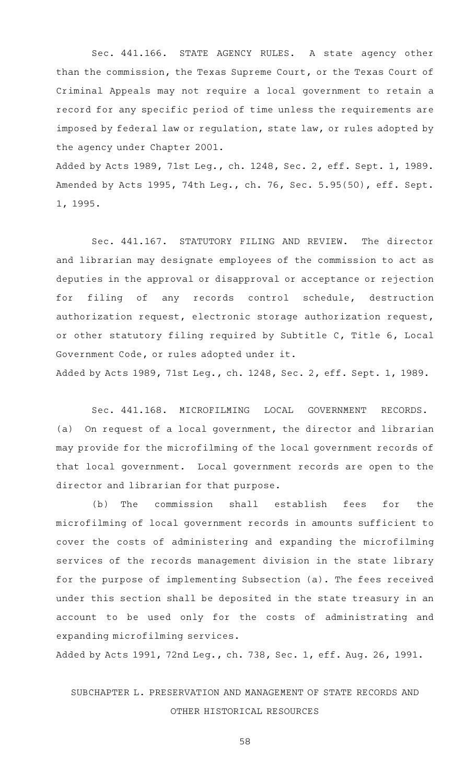Sec. 441.166. STATE AGENCY RULES. A state agency other than the commission, the Texas Supreme Court, or the Texas Court of Criminal Appeals may not require a local government to retain a record for any specific period of time unless the requirements are imposed by federal law or regulation, state law, or rules adopted by the agency under Chapter 2001.

Added by Acts 1989, 71st Leg., ch. 1248, Sec. 2, eff. Sept. 1, 1989. Amended by Acts 1995, 74th Leg., ch. 76, Sec. 5.95(50), eff. Sept. 1, 1995.

Sec. 441.167. STATUTORY FILING AND REVIEW. The director and librarian may designate employees of the commission to act as deputies in the approval or disapproval or acceptance or rejection for filing of any records control schedule, destruction authorization request, electronic storage authorization request, or other statutory filing required by Subtitle C, Title 6, Local Government Code, or rules adopted under it.

Added by Acts 1989, 71st Leg., ch. 1248, Sec. 2, eff. Sept. 1, 1989.

Sec. 441.168. MICROFILMING LOCAL GOVERNMENT RECORDS.  $(a)$  On request of a local government, the director and librarian may provide for the microfilming of the local government records of that local government. Local government records are open to the director and librarian for that purpose.

(b) The commission shall establish fees for the microfilming of local government records in amounts sufficient to cover the costs of administering and expanding the microfilming services of the records management division in the state library for the purpose of implementing Subsection (a). The fees received under this section shall be deposited in the state treasury in an account to be used only for the costs of administrating and expanding microfilming services.

Added by Acts 1991, 72nd Leg., ch. 738, Sec. 1, eff. Aug. 26, 1991.

## SUBCHAPTER L. PRESERVATION AND MANAGEMENT OF STATE RECORDS AND OTHER HISTORICAL RESOURCES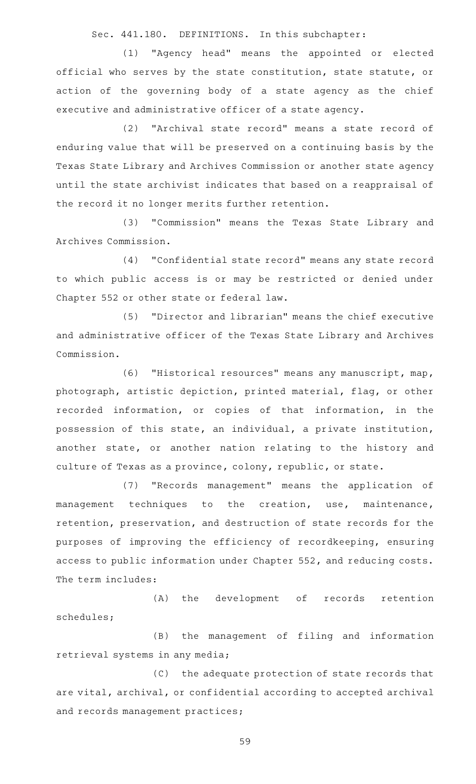Sec. 441.180. DEFINITIONS. In this subchapter:

(1) "Agency head" means the appointed or elected official who serves by the state constitution, state statute, or action of the governing body of a state agency as the chief executive and administrative officer of a state agency.

(2) "Archival state record" means a state record of enduring value that will be preserved on a continuing basis by the Texas State Library and Archives Commission or another state agency until the state archivist indicates that based on a reappraisal of the record it no longer merits further retention.

(3) "Commission" means the Texas State Library and Archives Commission.

(4) "Confidential state record" means any state record to which public access is or may be restricted or denied under Chapter 552 or other state or federal law.

(5) "Director and librarian" means the chief executive and administrative officer of the Texas State Library and Archives Commission.

(6) "Historical resources" means any manuscript, map, photograph, artistic depiction, printed material, flag, or other recorded information, or copies of that information, in the possession of this state, an individual, a private institution, another state, or another nation relating to the history and culture of Texas as a province, colony, republic, or state.

(7) "Records management" means the application of management techniques to the creation, use, maintenance, retention, preservation, and destruction of state records for the purposes of improving the efficiency of recordkeeping, ensuring access to public information under Chapter 552, and reducing costs. The term includes:

(A) the development of records retention schedules;

(B) the management of filing and information retrieval systems in any media;

(C) the adequate protection of state records that are vital, archival, or confidential according to accepted archival and records management practices;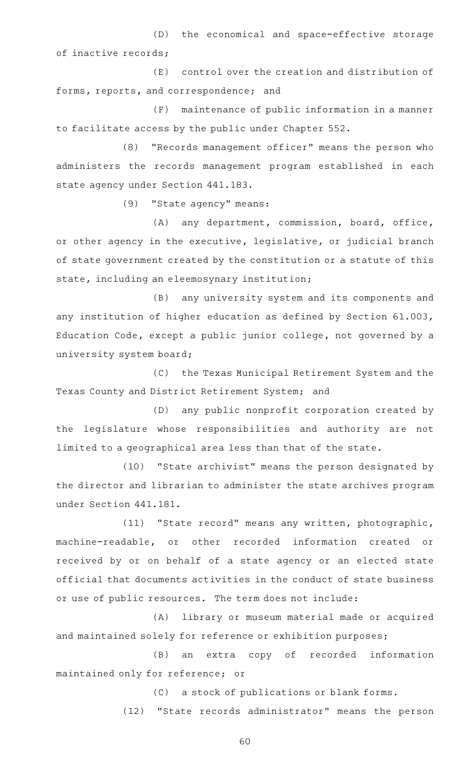(D) the economical and space-effective storage of inactive records;

 $(E)$  control over the creation and distribution of forms, reports, and correspondence; and

(F) maintenance of public information in a manner to facilitate access by the public under Chapter 552.

(8) "Records management officer" means the person who administers the records management program established in each state agency under Section 441.183.

(9) "State agency" means:

(A) any department, commission, board, office, or other agency in the executive, legislative, or judicial branch of state government created by the constitution or a statute of this state, including an eleemosynary institution;

(B) any university system and its components and any institution of higher education as defined by Section 61.003, Education Code, except a public junior college, not governed by a university system board;

(C) the Texas Municipal Retirement System and the Texas County and District Retirement System; and

(D) any public nonprofit corporation created by the legislature whose responsibilities and authority are not limited to a geographical area less than that of the state.

(10) "State archivist" means the person designated by the director and librarian to administer the state archives program under Section 441.181.

(11) "State record" means any written, photographic, machine-readable, or other recorded information created or received by or on behalf of a state agency or an elected state official that documents activities in the conduct of state business or use of public resources. The term does not include:

(A) library or museum material made or acquired and maintained solely for reference or exhibition purposes;

(B) an extra copy of recorded information maintained only for reference; or

(C) a stock of publications or blank forms.

(12) "State records administrator" means the person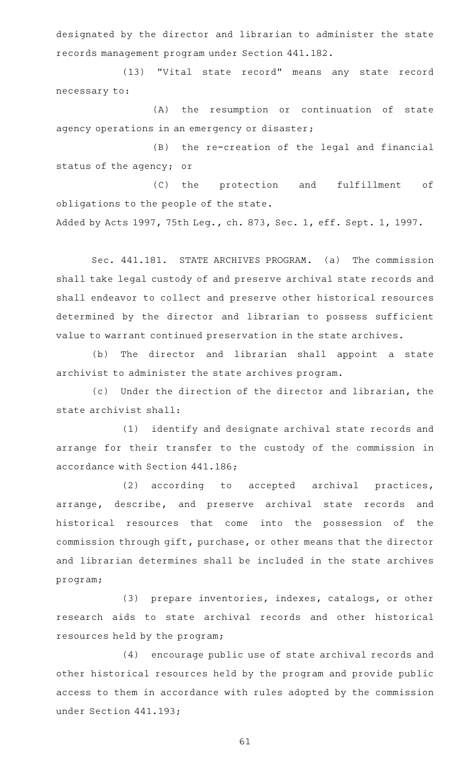designated by the director and librarian to administer the state records management program under Section 441.182.

(13) "Vital state record" means any state record necessary to:

(A) the resumption or continuation of state agency operations in an emergency or disaster;

(B) the re-creation of the legal and financial status of the agency; or

(C) the protection and fulfillment of obligations to the people of the state.

Added by Acts 1997, 75th Leg., ch. 873, Sec. 1, eff. Sept. 1, 1997.

Sec. 441.181. STATE ARCHIVES PROGRAM. (a) The commission shall take legal custody of and preserve archival state records and shall endeavor to collect and preserve other historical resources determined by the director and librarian to possess sufficient value to warrant continued preservation in the state archives.

(b) The director and librarian shall appoint a state archivist to administer the state archives program.

(c) Under the direction of the director and librarian, the state archivist shall:

(1) identify and designate archival state records and arrange for their transfer to the custody of the commission in accordance with Section 441.186;

(2) according to accepted archival practices, arrange, describe, and preserve archival state records and historical resources that come into the possession of the commission through gift, purchase, or other means that the director and librarian determines shall be included in the state archives program;

(3) prepare inventories, indexes, catalogs, or other research aids to state archival records and other historical resources held by the program;

(4) encourage public use of state archival records and other historical resources held by the program and provide public access to them in accordance with rules adopted by the commission under Section 441.193;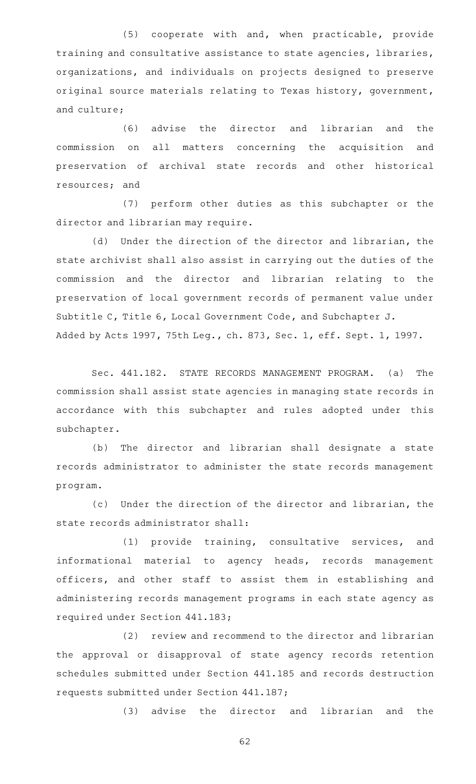(5) cooperate with and, when practicable, provide training and consultative assistance to state agencies, libraries, organizations, and individuals on projects designed to preserve original source materials relating to Texas history, government, and culture;

(6) advise the director and librarian and the commission on all matters concerning the acquisition and preservation of archival state records and other historical resources; and

(7) perform other duties as this subchapter or the director and librarian may require.

(d) Under the direction of the director and librarian, the state archivist shall also assist in carrying out the duties of the commission and the director and librarian relating to the preservation of local government records of permanent value under Subtitle C, Title 6, Local Government Code, and Subchapter J. Added by Acts 1997, 75th Leg., ch. 873, Sec. 1, eff. Sept. 1, 1997.

Sec. 441.182. STATE RECORDS MANAGEMENT PROGRAM. (a) The commission shall assist state agencies in managing state records in accordance with this subchapter and rules adopted under this subchapter.

(b) The director and librarian shall designate a state records administrator to administer the state records management program.

(c) Under the direction of the director and librarian, the state records administrator shall:

(1) provide training, consultative services, and informational material to agency heads, records management officers, and other staff to assist them in establishing and administering records management programs in each state agency as required under Section 441.183;

(2) review and recommend to the director and librarian the approval or disapproval of state agency records retention schedules submitted under Section 441.185 and records destruction requests submitted under Section 441.187;

(3) advise the director and librarian and the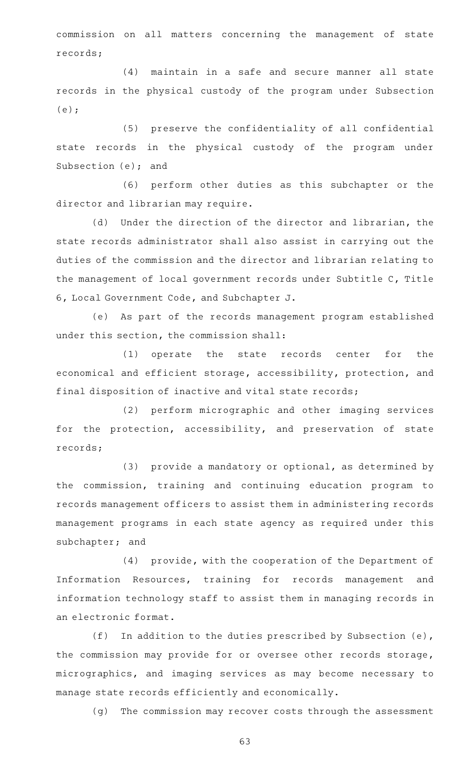commission on all matters concerning the management of state records;

(4) maintain in a safe and secure manner all state records in the physical custody of the program under Subsection (e);

(5) preserve the confidentiality of all confidential state records in the physical custody of the program under Subsection (e); and

(6) perform other duties as this subchapter or the director and librarian may require.

(d) Under the direction of the director and librarian, the state records administrator shall also assist in carrying out the duties of the commission and the director and librarian relating to the management of local government records under Subtitle C, Title 6, Local Government Code, and Subchapter J.

(e) As part of the records management program established under this section, the commission shall:

(1) operate the state records center for the economical and efficient storage, accessibility, protection, and final disposition of inactive and vital state records;

(2) perform micrographic and other imaging services for the protection, accessibility, and preservation of state records;

 $(3)$  provide a mandatory or optional, as determined by the commission, training and continuing education program to records management officers to assist them in administering records management programs in each state agency as required under this subchapter; and

(4) provide, with the cooperation of the Department of Information Resources, training for records management and information technology staff to assist them in managing records in an electronic format.

(f) In addition to the duties prescribed by Subsection (e), the commission may provide for or oversee other records storage, micrographics, and imaging services as may become necessary to manage state records efficiently and economically.

(g) The commission may recover costs through the assessment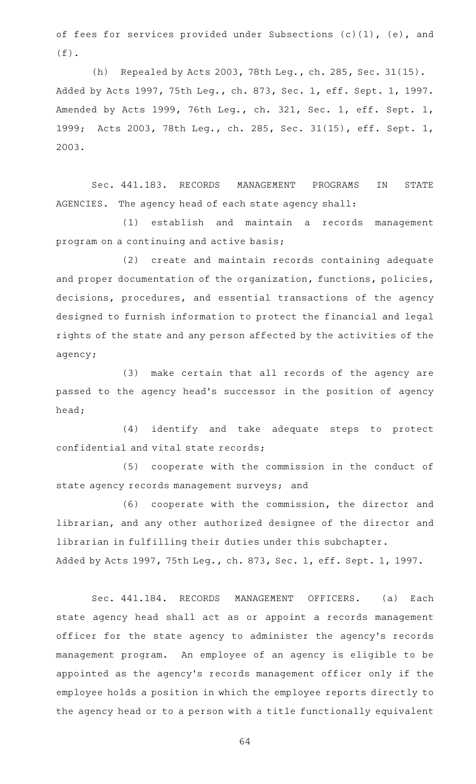of fees for services provided under Subsections (c)(1), (e), and  $(f)$ .

(h) Repealed by Acts 2003, 78th Leg., ch. 285, Sec. 31(15). Added by Acts 1997, 75th Leg., ch. 873, Sec. 1, eff. Sept. 1, 1997. Amended by Acts 1999, 76th Leg., ch. 321, Sec. 1, eff. Sept. 1, 1999; Acts 2003, 78th Leg., ch. 285, Sec. 31(15), eff. Sept. 1, 2003.

Sec. 441.183. RECORDS MANAGEMENT PROGRAMS IN STATE AGENCIES. The agency head of each state agency shall:

(1) establish and maintain a records management program on a continuing and active basis;

(2) create and maintain records containing adequate and proper documentation of the organization, functions, policies, decisions, procedures, and essential transactions of the agency designed to furnish information to protect the financial and legal rights of the state and any person affected by the activities of the agency;

(3) make certain that all records of the agency are passed to the agency head 's successor in the position of agency head;

(4) identify and take adequate steps to protect confidential and vital state records;

(5) cooperate with the commission in the conduct of state agency records management surveys; and

(6) cooperate with the commission, the director and librarian, and any other authorized designee of the director and librarian in fulfilling their duties under this subchapter. Added by Acts 1997, 75th Leg., ch. 873, Sec. 1, eff. Sept. 1, 1997.

Sec. 441.184. RECORDS MANAGEMENT OFFICERS. (a) Each state agency head shall act as or appoint a records management officer for the state agency to administer the agency's records management program. An employee of an agency is eligible to be appointed as the agency 's records management officer only if the employee holds a position in which the employee reports directly to the agency head or to a person with a title functionally equivalent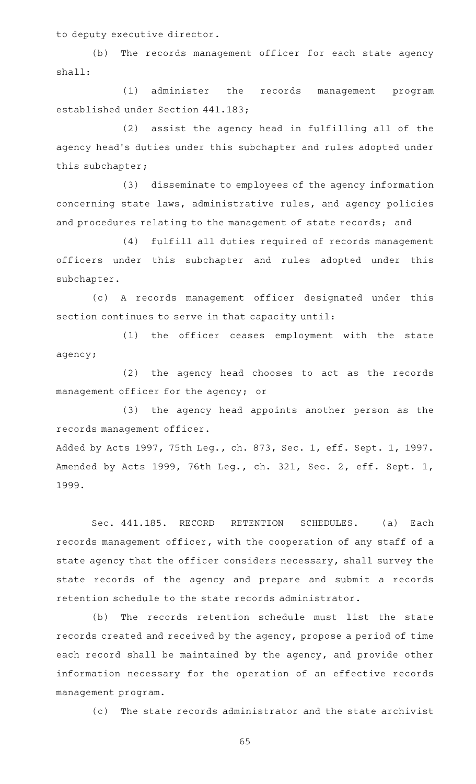to deputy executive director.

(b) The records management officer for each state agency shall:

(1) administer the records management program established under Section 441.183;

(2) assist the agency head in fulfilling all of the agency head's duties under this subchapter and rules adopted under this subchapter;

(3) disseminate to employees of the agency information concerning state laws, administrative rules, and agency policies and procedures relating to the management of state records; and

(4) fulfill all duties required of records management officers under this subchapter and rules adopted under this subchapter.

(c)AAA records management officer designated under this section continues to serve in that capacity until:

(1) the officer ceases employment with the state agency;

(2) the agency head chooses to act as the records management officer for the agency; or

(3) the agency head appoints another person as the records management officer.

Added by Acts 1997, 75th Leg., ch. 873, Sec. 1, eff. Sept. 1, 1997. Amended by Acts 1999, 76th Leg., ch. 321, Sec. 2, eff. Sept. 1, 1999.

Sec. 441.185. RECORD RETENTION SCHEDULES. (a) Each records management officer, with the cooperation of any staff of a state agency that the officer considers necessary, shall survey the state records of the agency and prepare and submit a records retention schedule to the state records administrator.

(b) The records retention schedule must list the state records created and received by the agency, propose a period of time each record shall be maintained by the agency, and provide other information necessary for the operation of an effective records management program.

(c) The state records administrator and the state archivist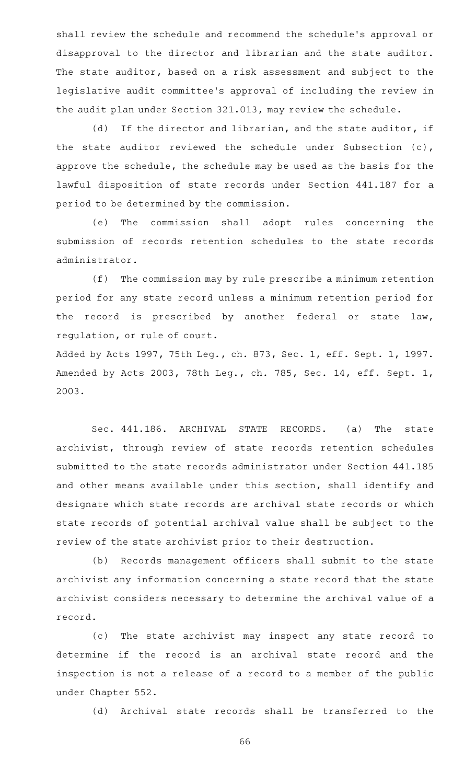shall review the schedule and recommend the schedule 's approval or disapproval to the director and librarian and the state auditor. The state auditor, based on a risk assessment and subject to the legislative audit committee 's approval of including the review in the audit plan under Section 321.013, may review the schedule.

(d) If the director and librarian, and the state auditor, if the state auditor reviewed the schedule under Subsection (c), approve the schedule, the schedule may be used as the basis for the lawful disposition of state records under Section 441.187 for a period to be determined by the commission.

(e) The commission shall adopt rules concerning the submission of records retention schedules to the state records administrator.

(f) The commission may by rule prescribe a minimum retention period for any state record unless a minimum retention period for the record is prescribed by another federal or state law, regulation, or rule of court.

Added by Acts 1997, 75th Leg., ch. 873, Sec. 1, eff. Sept. 1, 1997. Amended by Acts 2003, 78th Leg., ch. 785, Sec. 14, eff. Sept. 1, 2003.

Sec. 441.186. ARCHIVAL STATE RECORDS. (a) The state archivist, through review of state records retention schedules submitted to the state records administrator under Section 441.185 and other means available under this section, shall identify and designate which state records are archival state records or which state records of potential archival value shall be subject to the review of the state archivist prior to their destruction.

(b) Records management officers shall submit to the state archivist any information concerning a state record that the state archivist considers necessary to determine the archival value of a record.

(c) The state archivist may inspect any state record to determine if the record is an archival state record and the inspection is not a release of a record to a member of the public under Chapter 552.

(d) Archival state records shall be transferred to the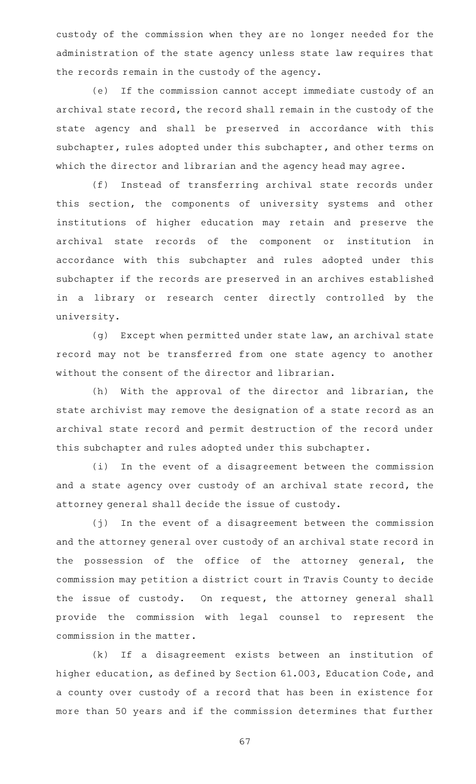custody of the commission when they are no longer needed for the administration of the state agency unless state law requires that the records remain in the custody of the agency.

(e) If the commission cannot accept immediate custody of an archival state record, the record shall remain in the custody of the state agency and shall be preserved in accordance with this subchapter, rules adopted under this subchapter, and other terms on which the director and librarian and the agency head may agree.

(f) Instead of transferring archival state records under this section, the components of university systems and other institutions of higher education may retain and preserve the archival state records of the component or institution in accordance with this subchapter and rules adopted under this subchapter if the records are preserved in an archives established in a library or research center directly controlled by the university.

(g) Except when permitted under state law, an archival state record may not be transferred from one state agency to another without the consent of the director and librarian.

(h) With the approval of the director and librarian, the state archivist may remove the designation of a state record as an archival state record and permit destruction of the record under this subchapter and rules adopted under this subchapter.

(i) In the event of a disagreement between the commission and a state agency over custody of an archival state record, the attorney general shall decide the issue of custody.

 $(j)$  In the event of a disagreement between the commission and the attorney general over custody of an archival state record in the possession of the office of the attorney general, the commission may petition a district court in Travis County to decide the issue of custody. On request, the attorney general shall provide the commission with legal counsel to represent the commission in the matter.

(k) If a disagreement exists between an institution of higher education, as defined by Section 61.003, Education Code, and a county over custody of a record that has been in existence for more than 50 years and if the commission determines that further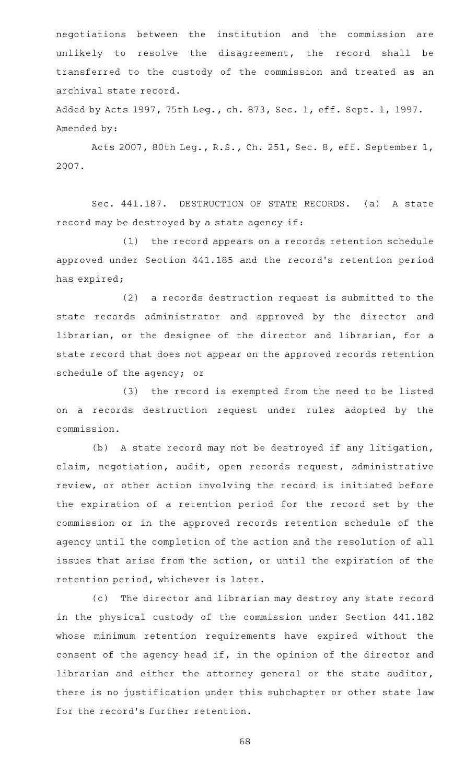negotiations between the institution and the commission are unlikely to resolve the disagreement, the record shall be transferred to the custody of the commission and treated as an archival state record.

Added by Acts 1997, 75th Leg., ch. 873, Sec. 1, eff. Sept. 1, 1997. Amended by:

Acts 2007, 80th Leg., R.S., Ch. 251, Sec. 8, eff. September 1, 2007.

Sec. 441.187. DESTRUCTION OF STATE RECORDS. (a) A state record may be destroyed by a state agency if:

(1) the record appears on a records retention schedule approved under Section 441.185 and the record 's retention period has expired;

 $(2)$  a records destruction request is submitted to the state records administrator and approved by the director and librarian, or the designee of the director and librarian, for a state record that does not appear on the approved records retention schedule of the agency; or

(3) the record is exempted from the need to be listed on a records destruction request under rules adopted by the commission.

(b) A state record may not be destroyed if any litigation, claim, negotiation, audit, open records request, administrative review, or other action involving the record is initiated before the expiration of a retention period for the record set by the commission or in the approved records retention schedule of the agency until the completion of the action and the resolution of all issues that arise from the action, or until the expiration of the retention period, whichever is later.

(c) The director and librarian may destroy any state record in the physical custody of the commission under Section 441.182 whose minimum retention requirements have expired without the consent of the agency head if, in the opinion of the director and librarian and either the attorney general or the state auditor, there is no justification under this subchapter or other state law for the record 's further retention.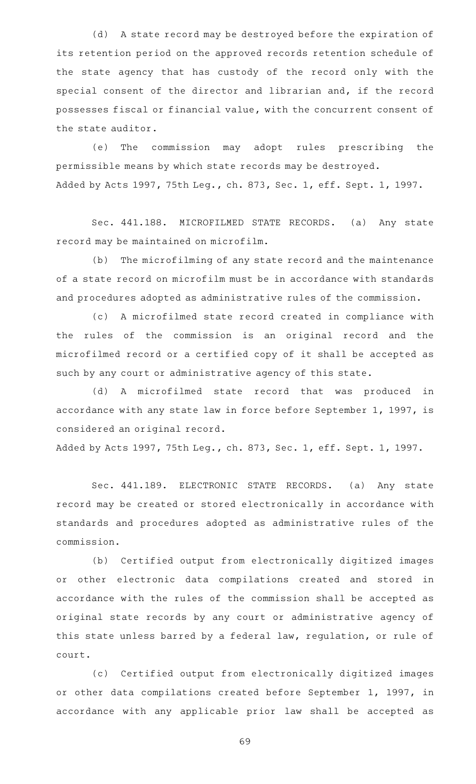(d) A state record may be destroyed before the expiration of its retention period on the approved records retention schedule of the state agency that has custody of the record only with the special consent of the director and librarian and, if the record possesses fiscal or financial value, with the concurrent consent of the state auditor.

(e) The commission may adopt rules prescribing the permissible means by which state records may be destroyed. Added by Acts 1997, 75th Leg., ch. 873, Sec. 1, eff. Sept. 1, 1997.

Sec. 441.188. MICROFILMED STATE RECORDS. (a) Any state record may be maintained on microfilm.

(b) The microfilming of any state record and the maintenance of a state record on microfilm must be in accordance with standards and procedures adopted as administrative rules of the commission.

(c) A microfilmed state record created in compliance with the rules of the commission is an original record and the microfilmed record or a certified copy of it shall be accepted as such by any court or administrative agency of this state.

(d)AAA microfilmed state record that was produced in accordance with any state law in force before September 1, 1997, is considered an original record.

Added by Acts 1997, 75th Leg., ch. 873, Sec. 1, eff. Sept. 1, 1997.

Sec. 441.189. ELECTRONIC STATE RECORDS. (a) Any state record may be created or stored electronically in accordance with standards and procedures adopted as administrative rules of the commission.

(b) Certified output from electronically digitized images or other electronic data compilations created and stored in accordance with the rules of the commission shall be accepted as original state records by any court or administrative agency of this state unless barred by a federal law, regulation, or rule of court.

(c) Certified output from electronically digitized images or other data compilations created before September 1, 1997, in accordance with any applicable prior law shall be accepted as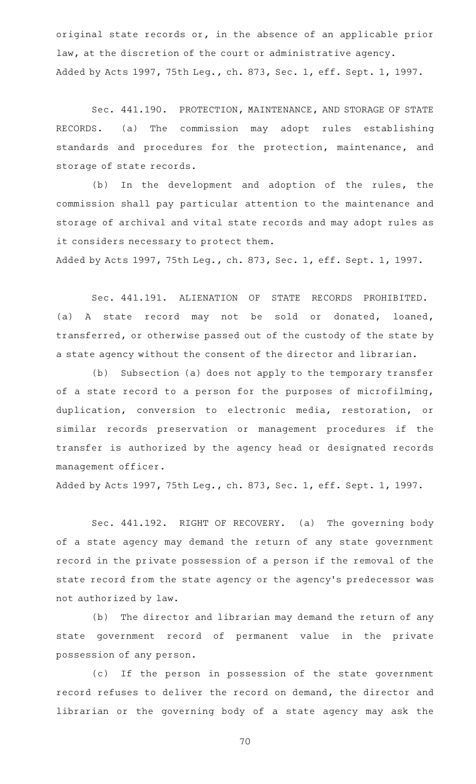original state records or, in the absence of an applicable prior law, at the discretion of the court or administrative agency. Added by Acts 1997, 75th Leg., ch. 873, Sec. 1, eff. Sept. 1, 1997.

Sec. 441.190. PROTECTION, MAINTENANCE, AND STORAGE OF STATE RECORDS. (a) The commission may adopt rules establishing standards and procedures for the protection, maintenance, and storage of state records.

(b) In the development and adoption of the rules, the commission shall pay particular attention to the maintenance and storage of archival and vital state records and may adopt rules as it considers necessary to protect them.

Added by Acts 1997, 75th Leg., ch. 873, Sec. 1, eff. Sept. 1, 1997.

Sec. 441.191. ALIENATION OF STATE RECORDS PROHIBITED. (a)AAA state record may not be sold or donated, loaned, transferred, or otherwise passed out of the custody of the state by a state agency without the consent of the director and librarian.

(b) Subsection (a) does not apply to the temporary transfer of a state record to a person for the purposes of microfilming, duplication, conversion to electronic media, restoration, or similar records preservation or management procedures if the transfer is authorized by the agency head or designated records management officer.

Added by Acts 1997, 75th Leg., ch. 873, Sec. 1, eff. Sept. 1, 1997.

Sec. 441.192. RIGHT OF RECOVERY. (a) The governing body of a state agency may demand the return of any state government record in the private possession of a person if the removal of the state record from the state agency or the agency 's predecessor was not authorized by law.

(b) The director and librarian may demand the return of any state government record of permanent value in the private possession of any person.

(c) If the person in possession of the state government record refuses to deliver the record on demand, the director and librarian or the governing body of a state agency may ask the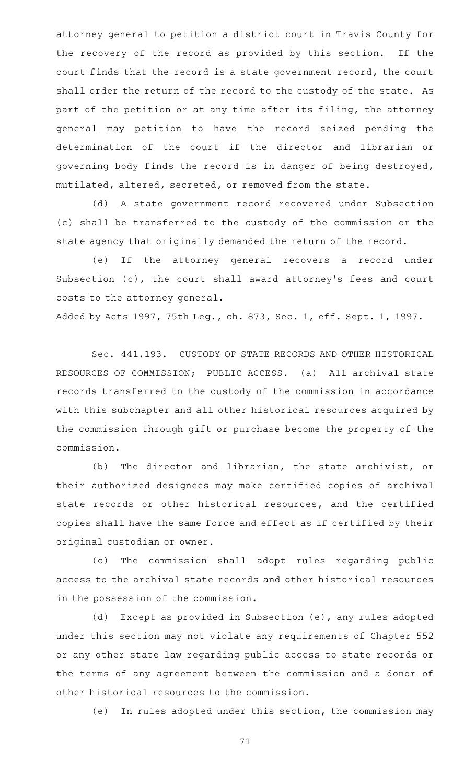attorney general to petition a district court in Travis County for the recovery of the record as provided by this section. If the court finds that the record is a state government record, the court shall order the return of the record to the custody of the state. As part of the petition or at any time after its filing, the attorney general may petition to have the record seized pending the determination of the court if the director and librarian or governing body finds the record is in danger of being destroyed, mutilated, altered, secreted, or removed from the state.

(d) A state government record recovered under Subsection (c) shall be transferred to the custody of the commission or the state agency that originally demanded the return of the record.

(e) If the attorney general recovers a record under Subsection (c), the court shall award attorney's fees and court costs to the attorney general.

Added by Acts 1997, 75th Leg., ch. 873, Sec. 1, eff. Sept. 1, 1997.

Sec. 441.193. CUSTODY OF STATE RECORDS AND OTHER HISTORICAL RESOURCES OF COMMISSION; PUBLIC ACCESS. (a) All archival state records transferred to the custody of the commission in accordance with this subchapter and all other historical resources acquired by the commission through gift or purchase become the property of the commission.

(b) The director and librarian, the state archivist, or their authorized designees may make certified copies of archival state records or other historical resources, and the certified copies shall have the same force and effect as if certified by their original custodian or owner.

(c) The commission shall adopt rules regarding public access to the archival state records and other historical resources in the possession of the commission.

(d) Except as provided in Subsection (e), any rules adopted under this section may not violate any requirements of Chapter 552 or any other state law regarding public access to state records or the terms of any agreement between the commission and a donor of other historical resources to the commission.

(e) In rules adopted under this section, the commission may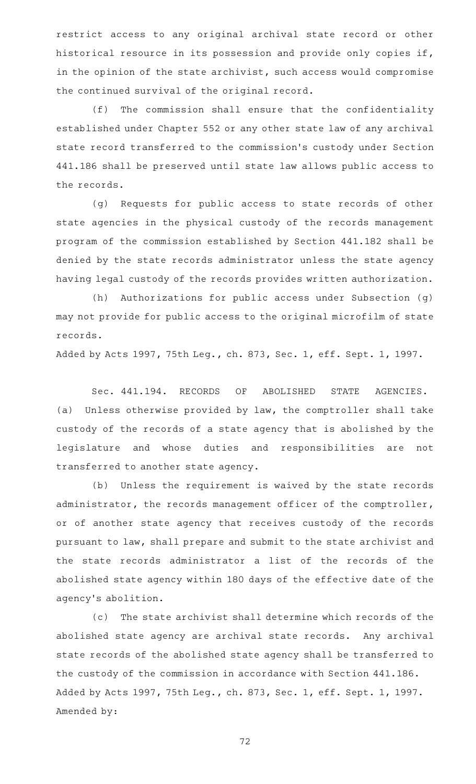restrict access to any original archival state record or other historical resource in its possession and provide only copies if, in the opinion of the state archivist, such access would compromise the continued survival of the original record.

(f) The commission shall ensure that the confidentiality established under Chapter 552 or any other state law of any archival state record transferred to the commission 's custody under Section 441.186 shall be preserved until state law allows public access to the records.

(g) Requests for public access to state records of other state agencies in the physical custody of the records management program of the commission established by Section 441.182 shall be denied by the state records administrator unless the state agency having legal custody of the records provides written authorization.

 $(h)$  Authorizations for public access under Subsection (g) may not provide for public access to the original microfilm of state records.

Added by Acts 1997, 75th Leg., ch. 873, Sec. 1, eff. Sept. 1, 1997.

Sec. 441.194. RECORDS OF ABOLISHED STATE AGENCIES. (a) Unless otherwise provided by law, the comptroller shall take custody of the records of a state agency that is abolished by the legislature and whose duties and responsibilities are not transferred to another state agency.

(b) Unless the requirement is waived by the state records administrator, the records management officer of the comptroller, or of another state agency that receives custody of the records pursuant to law, shall prepare and submit to the state archivist and the state records administrator a list of the records of the abolished state agency within 180 days of the effective date of the agency 's abolition.

(c) The state archivist shall determine which records of the abolished state agency are archival state records. Any archival state records of the abolished state agency shall be transferred to the custody of the commission in accordance with Section 441.186. Added by Acts 1997, 75th Leg., ch. 873, Sec. 1, eff. Sept. 1, 1997. Amended by: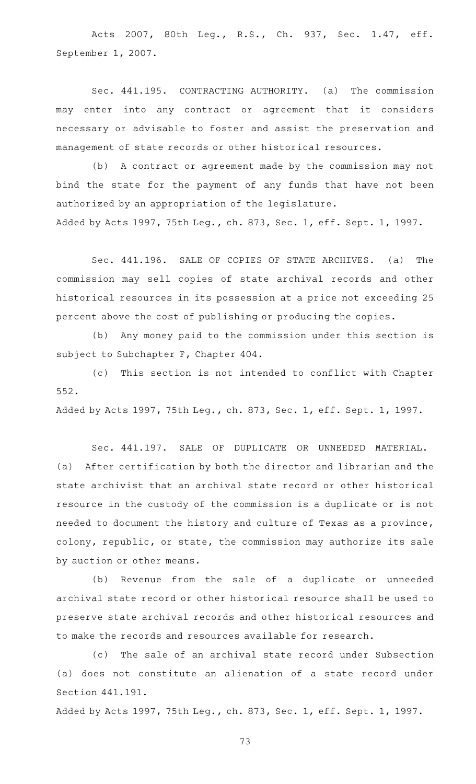Acts 2007, 80th Leg., R.S., Ch. 937, Sec. 1.47, eff. September 1, 2007.

Sec. 441.195. CONTRACTING AUTHORITY. (a) The commission may enter into any contract or agreement that it considers necessary or advisable to foster and assist the preservation and management of state records or other historical resources.

(b) A contract or agreement made by the commission may not bind the state for the payment of any funds that have not been authorized by an appropriation of the legislature. Added by Acts 1997, 75th Leg., ch. 873, Sec. 1, eff. Sept. 1, 1997.

Sec. 441.196. SALE OF COPIES OF STATE ARCHIVES. (a) The commission may sell copies of state archival records and other historical resources in its possession at a price not exceeding 25 percent above the cost of publishing or producing the copies.

(b) Any money paid to the commission under this section is subject to Subchapter F, Chapter 404.

(c) This section is not intended to conflict with Chapter 552.

Added by Acts 1997, 75th Leg., ch. 873, Sec. 1, eff. Sept. 1, 1997.

Sec. 441.197. SALE OF DUPLICATE OR UNNEEDED MATERIAL. (a) After certification by both the director and librarian and the state archivist that an archival state record or other historical resource in the custody of the commission is a duplicate or is not needed to document the history and culture of Texas as a province, colony, republic, or state, the commission may authorize its sale by auction or other means.

(b) Revenue from the sale of a duplicate or unneeded archival state record or other historical resource shall be used to preserve state archival records and other historical resources and to make the records and resources available for research.

(c) The sale of an archival state record under Subsection (a) does not constitute an alienation of a state record under Section 441.191.

Added by Acts 1997, 75th Leg., ch. 873, Sec. 1, eff. Sept. 1, 1997.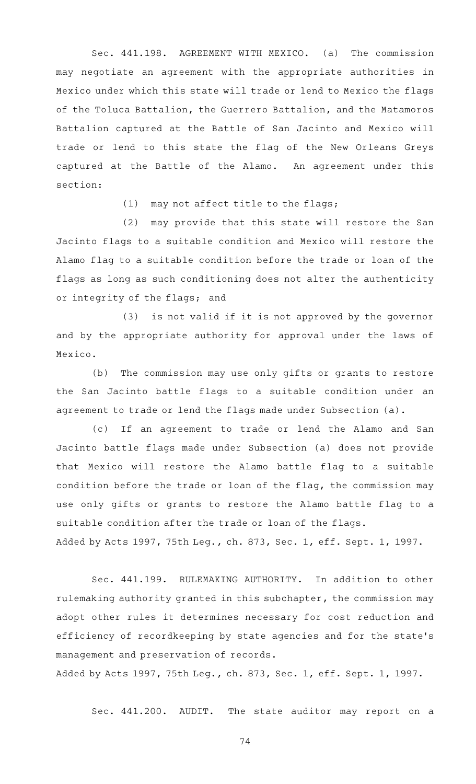Sec. 441.198. AGREEMENT WITH MEXICO. (a) The commission may negotiate an agreement with the appropriate authorities in Mexico under which this state will trade or lend to Mexico the flags of the Toluca Battalion, the Guerrero Battalion, and the Matamoros Battalion captured at the Battle of San Jacinto and Mexico will trade or lend to this state the flag of the New Orleans Greys captured at the Battle of the Alamo. An agreement under this section:

 $(1)$  may not affect title to the flags;

(2) may provide that this state will restore the San Jacinto flags to a suitable condition and Mexico will restore the Alamo flag to a suitable condition before the trade or loan of the flags as long as such conditioning does not alter the authenticity or integrity of the flags; and

(3) is not valid if it is not approved by the governor and by the appropriate authority for approval under the laws of Mexico.

(b) The commission may use only gifts or grants to restore the San Jacinto battle flags to a suitable condition under an agreement to trade or lend the flags made under Subsection (a).

(c) If an agreement to trade or lend the Alamo and San Jacinto battle flags made under Subsection (a) does not provide that Mexico will restore the Alamo battle flag to a suitable condition before the trade or loan of the flag, the commission may use only gifts or grants to restore the Alamo battle flag to a suitable condition after the trade or loan of the flags. Added by Acts 1997, 75th Leg., ch. 873, Sec. 1, eff. Sept. 1, 1997.

Sec. 441.199. RULEMAKING AUTHORITY. In addition to other rulemaking authority granted in this subchapter, the commission may adopt other rules it determines necessary for cost reduction and efficiency of recordkeeping by state agencies and for the state 's management and preservation of records.

Added by Acts 1997, 75th Leg., ch. 873, Sec. 1, eff. Sept. 1, 1997.

Sec. 441.200. AUDIT. The state auditor may report on a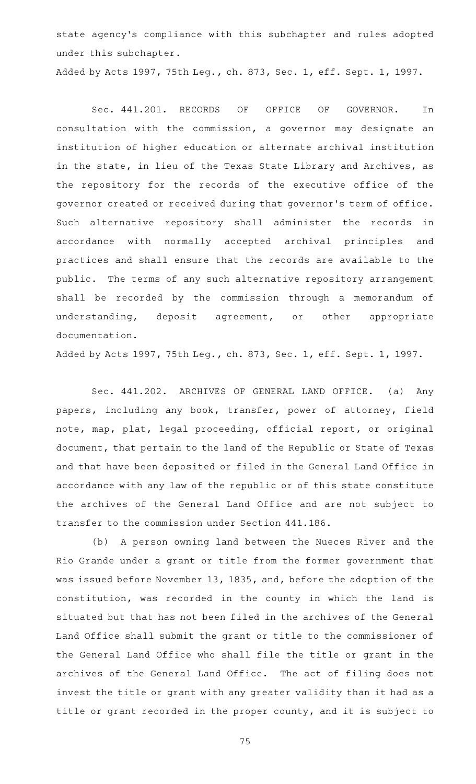state agency 's compliance with this subchapter and rules adopted under this subchapter.

Added by Acts 1997, 75th Leg., ch. 873, Sec. 1, eff. Sept. 1, 1997.

Sec. 441.201. RECORDS OF OFFICE OF GOVERNOR. In consultation with the commission, a governor may designate an institution of higher education or alternate archival institution in the state, in lieu of the Texas State Library and Archives, as the repository for the records of the executive office of the governor created or received during that governor 's term of office. Such alternative repository shall administer the records in accordance with normally accepted archival principles and practices and shall ensure that the records are available to the public. The terms of any such alternative repository arrangement shall be recorded by the commission through a memorandum of understanding, deposit agreement, or other appropriate documentation.

Added by Acts 1997, 75th Leg., ch. 873, Sec. 1, eff. Sept. 1, 1997.

Sec. 441.202. ARCHIVES OF GENERAL LAND OFFICE. (a) Any papers, including any book, transfer, power of attorney, field note, map, plat, legal proceeding, official report, or original document, that pertain to the land of the Republic or State of Texas and that have been deposited or filed in the General Land Office in accordance with any law of the republic or of this state constitute the archives of the General Land Office and are not subject to transfer to the commission under Section 441.186.

(b) A person owning land between the Nueces River and the Rio Grande under a grant or title from the former government that was issued before November 13, 1835, and, before the adoption of the constitution, was recorded in the county in which the land is situated but that has not been filed in the archives of the General Land Office shall submit the grant or title to the commissioner of the General Land Office who shall file the title or grant in the archives of the General Land Office. The act of filing does not invest the title or grant with any greater validity than it had as a title or grant recorded in the proper county, and it is subject to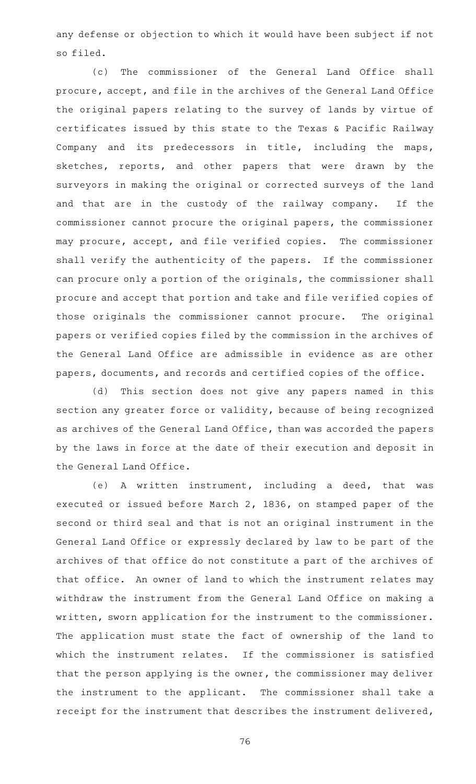any defense or objection to which it would have been subject if not so filed.

(c) The commissioner of the General Land Office shall procure, accept, and file in the archives of the General Land Office the original papers relating to the survey of lands by virtue of certificates issued by this state to the Texas & Pacific Railway Company and its predecessors in title, including the maps, sketches, reports, and other papers that were drawn by the surveyors in making the original or corrected surveys of the land and that are in the custody of the railway company. If the commissioner cannot procure the original papers, the commissioner may procure, accept, and file verified copies. The commissioner shall verify the authenticity of the papers. If the commissioner can procure only a portion of the originals, the commissioner shall procure and accept that portion and take and file verified copies of those originals the commissioner cannot procure. The original papers or verified copies filed by the commission in the archives of the General Land Office are admissible in evidence as are other papers, documents, and records and certified copies of the office.

(d) This section does not give any papers named in this section any greater force or validity, because of being recognized as archives of the General Land Office, than was accorded the papers by the laws in force at the date of their execution and deposit in the General Land Office.

(e)AAA written instrument, including a deed, that was executed or issued before March 2, 1836, on stamped paper of the second or third seal and that is not an original instrument in the General Land Office or expressly declared by law to be part of the archives of that office do not constitute a part of the archives of that office. An owner of land to which the instrument relates may withdraw the instrument from the General Land Office on making a written, sworn application for the instrument to the commissioner. The application must state the fact of ownership of the land to which the instrument relates. If the commissioner is satisfied that the person applying is the owner, the commissioner may deliver the instrument to the applicant. The commissioner shall take a receipt for the instrument that describes the instrument delivered,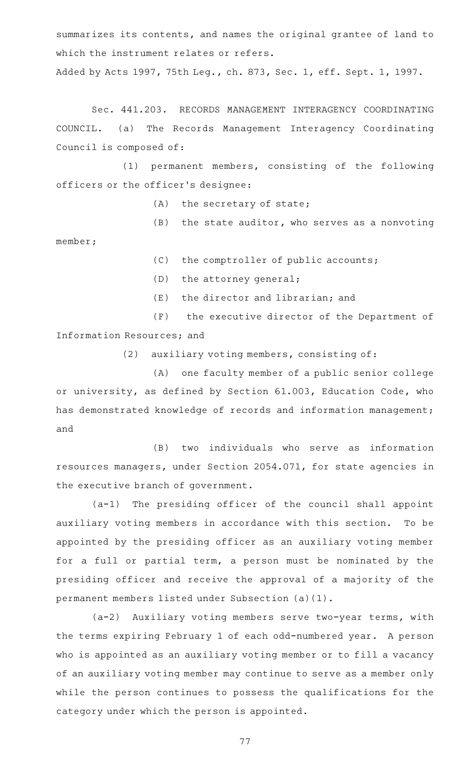summarizes its contents, and names the original grantee of land to which the instrument relates or refers.

Added by Acts 1997, 75th Leg., ch. 873, Sec. 1, eff. Sept. 1, 1997.

Sec. 441.203. RECORDS MANAGEMENT INTERAGENCY COORDINATING COUNCIL. (a) The Records Management Interagency Coordinating Council is composed of:

(1) permanent members, consisting of the following officers or the officer 's designee:

 $(A)$  the secretary of state;

 $(B)$  the state auditor, who serves as a nonvoting

 $(C)$  the comptroller of public accounts;

(D) the attorney general;

member;

 $(E)$  the director and librarian; and

(F) the executive director of the Department of Information Resources; and

(2) auxiliary voting members, consisting of:

(A) one faculty member of a public senior college or university, as defined by Section 61.003, Education Code, who has demonstrated knowledge of records and information management; and

(B) two individuals who serve as information resources managers, under Section 2054.071, for state agencies in the executive branch of government.

 $(a-1)$  The presiding officer of the council shall appoint auxiliary voting members in accordance with this section. To be appointed by the presiding officer as an auxiliary voting member for a full or partial term, a person must be nominated by the presiding officer and receive the approval of a majority of the permanent members listed under Subsection (a)(1).

(a-2) Auxiliary voting members serve two-year terms, with the terms expiring February 1 of each odd-numbered year. A person who is appointed as an auxiliary voting member or to fill a vacancy of an auxiliary voting member may continue to serve as a member only while the person continues to possess the qualifications for the category under which the person is appointed.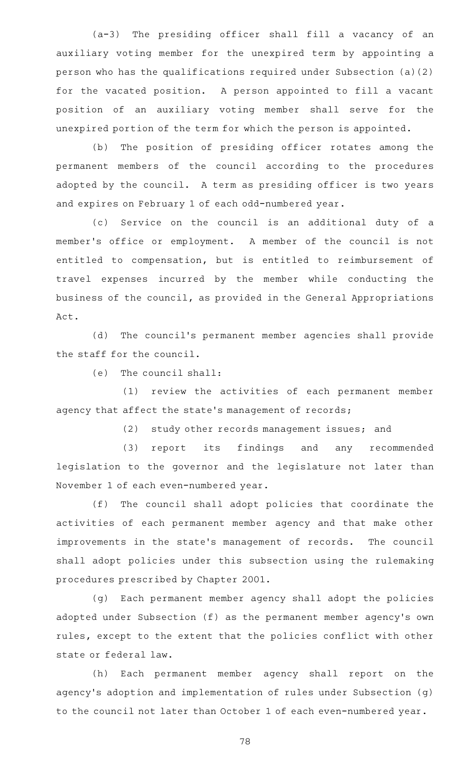(a-3) The presiding officer shall fill a vacancy of an auxiliary voting member for the unexpired term by appointing a person who has the qualifications required under Subsection (a)(2) for the vacated position. A person appointed to fill a vacant position of an auxiliary voting member shall serve for the unexpired portion of the term for which the person is appointed.

(b) The position of presiding officer rotates among the permanent members of the council according to the procedures adopted by the council. A term as presiding officer is two years and expires on February 1 of each odd-numbered year.

(c) Service on the council is an additional duty of a member 's office or employment. A member of the council is not entitled to compensation, but is entitled to reimbursement of travel expenses incurred by the member while conducting the business of the council, as provided in the General Appropriations Act.

(d) The council's permanent member agencies shall provide the staff for the council.

 $(e)$  The council shall:

(1) review the activities of each permanent member agency that affect the state 's management of records;

 $(2)$  study other records management issues; and

(3) report its findings and any recommended legislation to the governor and the legislature not later than November 1 of each even-numbered year.

(f) The council shall adopt policies that coordinate the activities of each permanent member agency and that make other improvements in the state 's management of records. The council shall adopt policies under this subsection using the rulemaking procedures prescribed by Chapter 2001.

(g) Each permanent member agency shall adopt the policies adopted under Subsection (f) as the permanent member agency 's own rules, except to the extent that the policies conflict with other state or federal law.

(h) Each permanent member agency shall report on the agency 's adoption and implementation of rules under Subsection (g) to the council not later than October 1 of each even-numbered year.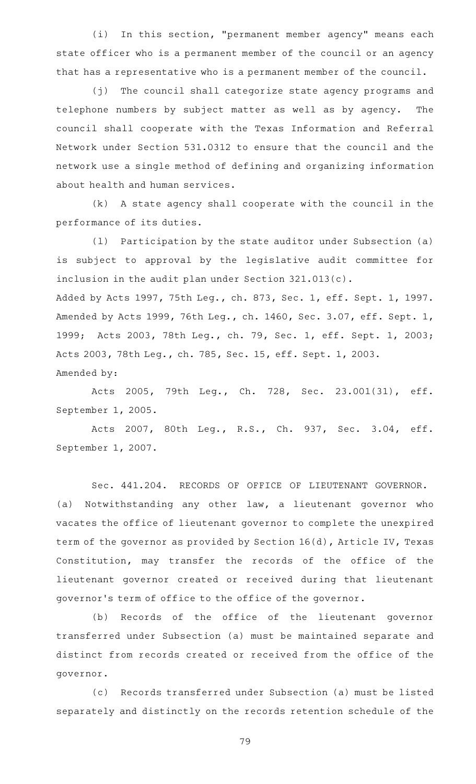(i) In this section, "permanent member agency" means each state officer who is a permanent member of the council or an agency that has a representative who is a permanent member of the council.

(j) The council shall categorize state agency programs and telephone numbers by subject matter as well as by agency. The council shall cooperate with the Texas Information and Referral Network under Section 531.0312 to ensure that the council and the network use a single method of defining and organizing information about health and human services.

 $(k)$  A state agency shall cooperate with the council in the performance of its duties.

(1) Participation by the state auditor under Subsection (a) is subject to approval by the legislative audit committee for inclusion in the audit plan under Section 321.013(c). Added by Acts 1997, 75th Leg., ch. 873, Sec. 1, eff. Sept. 1, 1997. Amended by Acts 1999, 76th Leg., ch. 1460, Sec. 3.07, eff. Sept. 1, 1999; Acts 2003, 78th Leg., ch. 79, Sec. 1, eff. Sept. 1, 2003; Acts 2003, 78th Leg., ch. 785, Sec. 15, eff. Sept. 1, 2003. Amended by:

Acts 2005, 79th Leg., Ch. 728, Sec. 23.001(31), eff. September 1, 2005.

Acts 2007, 80th Leg., R.S., Ch. 937, Sec. 3.04, eff. September 1, 2007.

Sec. 441.204. RECORDS OF OFFICE OF LIEUTENANT GOVERNOR. (a) Notwithstanding any other law, a lieutenant governor who vacates the office of lieutenant governor to complete the unexpired term of the governor as provided by Section 16(d), Article IV, Texas Constitution, may transfer the records of the office of the lieutenant governor created or received during that lieutenant governor 's term of office to the office of the governor.

(b) Records of the office of the lieutenant governor transferred under Subsection (a) must be maintained separate and distinct from records created or received from the office of the governor.

(c) Records transferred under Subsection (a) must be listed separately and distinctly on the records retention schedule of the